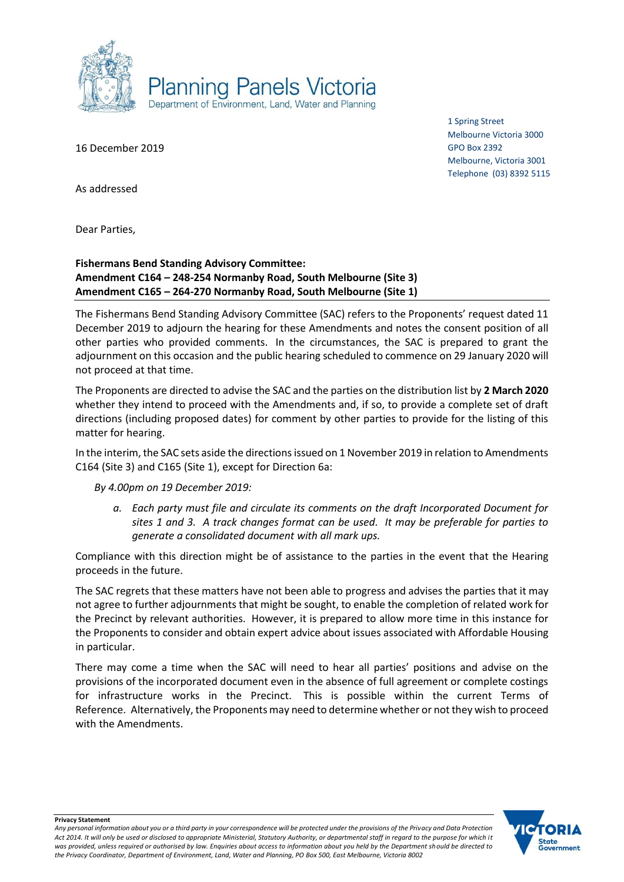

16 December 2019

1 Spring Street Melbourne Victoria 3000 GPO Box 2392 Melbourne, Victoria 3001 Telephone (03) 8392 5115

As addressed

Dear Parties,

## **Fishermans Bend Standing Advisory Committee: Amendment C164 – 248-254 Normanby Road, South Melbourne (Site 3) Amendment C165 – 264-270 Normanby Road, South Melbourne (Site 1)**

The Fishermans Bend Standing Advisory Committee (SAC) refers to the Proponents' request dated 11 December 2019 to adjourn the hearing for these Amendments and notes the consent position of all other parties who provided comments. In the circumstances, the SAC is prepared to grant the adjournment on this occasion and the public hearing scheduled to commence on 29 January 2020 will not proceed at that time.

The Proponents are directed to advise the SAC and the parties on the distribution list by **2 March 2020** whether they intend to proceed with the Amendments and, if so, to provide a complete set of draft directions (including proposed dates) for comment by other parties to provide for the listing of this matter for hearing.

In the interim, the SAC sets aside the directions issued on 1 November 2019 in relation to Amendments C164 (Site 3) and C165 (Site 1), except for Direction 6a:

*By 4.00pm on 19 December 2019:*

*a. Each party must file and circulate its comments on the draft Incorporated Document for sites 1 and 3. A track changes format can be used. It may be preferable for parties to generate a consolidated document with all mark ups.*

Compliance with this direction might be of assistance to the parties in the event that the Hearing proceeds in the future.

The SAC regrets that these matters have not been able to progress and advises the parties that it may not agree to further adjournments that might be sought, to enable the completion of related work for the Precinct by relevant authorities. However, it is prepared to allow more time in this instance for the Proponents to consider and obtain expert advice about issues associated with Affordable Housing in particular.

There may come a time when the SAC will need to hear all parties' positions and advise on the provisions of the incorporated document even in the absence of full agreement or complete costings for infrastructure works in the Precinct. This is possible within the current Terms of Reference. Alternatively, the Proponents may need to determine whether or not they wish to proceed with the Amendments.



**Privacy Statement**

*Any personal information about you or a third party in your correspondence will be protected under the provisions of the Privacy and Data Protection Act 2014. It will only be used or disclosed to appropriate Ministerial, Statutory Authority, or departmental staff in regard to the purpose for which it was provided, unless required or authorised by law. Enquiries about access to information about you held by the Department should be directed to the Privacy Coordinator, Department of Environment, Land, Water and Planning, PO Box 500, East Melbourne, Victoria 8002*